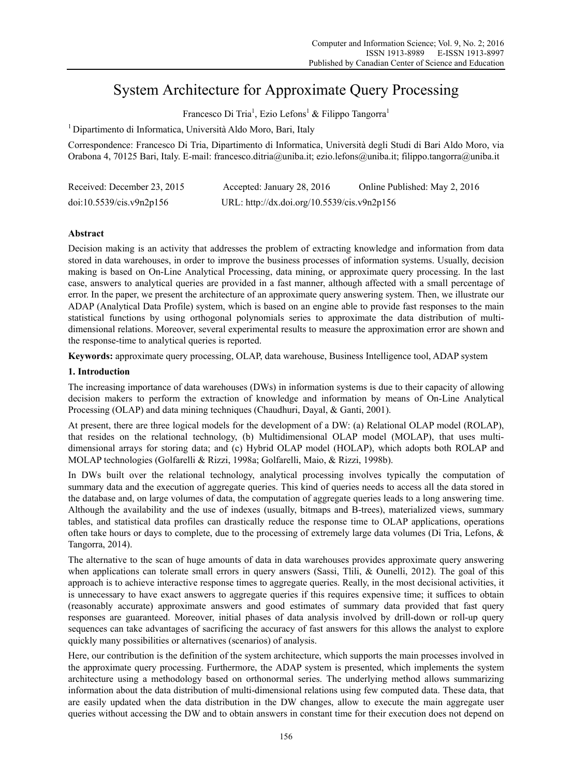# System Architecture for Approximate Query Processing

Francesco Di Tria<sup>1</sup>, Ezio Lefons<sup>1</sup> & Filippo Tangorra<sup>1</sup>

1 Dipartimento di Informatica, Università Aldo Moro, Bari, Italy

Correspondence: Francesco Di Tria, Dipartimento di Informatica, Università degli Studi di Bari Aldo Moro, via Orabona 4, 70125 Bari, Italy. E-mail: francesco.ditria@uniba.it; ezio.lefons@uniba.it; filippo.tangorra@uniba.it

| Received: December 23, 2015 | Accepted: January 28, 2016                  | Online Published: May 2, 2016 |
|-----------------------------|---------------------------------------------|-------------------------------|
| doi:10.5539/cis.v9n2p156    | URL: http://dx.doi.org/10.5539/cis.v9n2p156 |                               |

# **Abstract**

Decision making is an activity that addresses the problem of extracting knowledge and information from data stored in data warehouses, in order to improve the business processes of information systems. Usually, decision making is based on On-Line Analytical Processing, data mining, or approximate query processing. In the last case, answers to analytical queries are provided in a fast manner, although affected with a small percentage of error. In the paper, we present the architecture of an approximate query answering system. Then, we illustrate our ADAP (Analytical Data Profile) system, which is based on an engine able to provide fast responses to the main statistical functions by using orthogonal polynomials series to approximate the data distribution of multidimensional relations. Moreover, several experimental results to measure the approximation error are shown and the response-time to analytical queries is reported.

**Keywords:** approximate query processing, OLAP, data warehouse, Business Intelligence tool, ADAP system

# **1. Introduction**

The increasing importance of data warehouses (DWs) in information systems is due to their capacity of allowing decision makers to perform the extraction of knowledge and information by means of On-Line Analytical Processing (OLAP) and data mining techniques (Chaudhuri, Dayal, & Ganti, 2001).

At present, there are three logical models for the development of a DW: (a) Relational OLAP model (ROLAP), that resides on the relational technology, (b) Multidimensional OLAP model (MOLAP), that uses multidimensional arrays for storing data; and (c) Hybrid OLAP model (HOLAP), which adopts both ROLAP and MOLAP technologies (Golfarelli & Rizzi, 1998a; Golfarelli, Maio, & Rizzi, 1998b).

In DWs built over the relational technology, analytical processing involves typically the computation of summary data and the execution of aggregate queries. This kind of queries needs to access all the data stored in the database and, on large volumes of data, the computation of aggregate queries leads to a long answering time. Although the availability and the use of indexes (usually, bitmaps and B-trees), materialized views, summary tables, and statistical data profiles can drastically reduce the response time to OLAP applications, operations often take hours or days to complete, due to the processing of extremely large data volumes (Di Tria, Lefons, & Tangorra, 2014).

The alternative to the scan of huge amounts of data in data warehouses provides approximate query answering when applications can tolerate small errors in query answers (Sassi, Tilii, & Ounelli, 2012). The goal of this approach is to achieve interactive response times to aggregate queries. Really, in the most decisional activities, it is unnecessary to have exact answers to aggregate queries if this requires expensive time; it suffices to obtain (reasonably accurate) approximate answers and good estimates of summary data provided that fast query responses are guaranteed. Moreover, initial phases of data analysis involved by drill-down or roll-up query sequences can take advantages of sacrificing the accuracy of fast answers for this allows the analyst to explore quickly many possibilities or alternatives (scenarios) of analysis.

Here, our contribution is the definition of the system architecture, which supports the main processes involved in the approximate query processing. Furthermore, the ADAP system is presented, which implements the system architecture using a methodology based on orthonormal series. The underlying method allows summarizing information about the data distribution of multi-dimensional relations using few computed data. These data, that are easily updated when the data distribution in the DW changes, allow to execute the main aggregate user queries without accessing the DW and to obtain answers in constant time for their execution does not depend on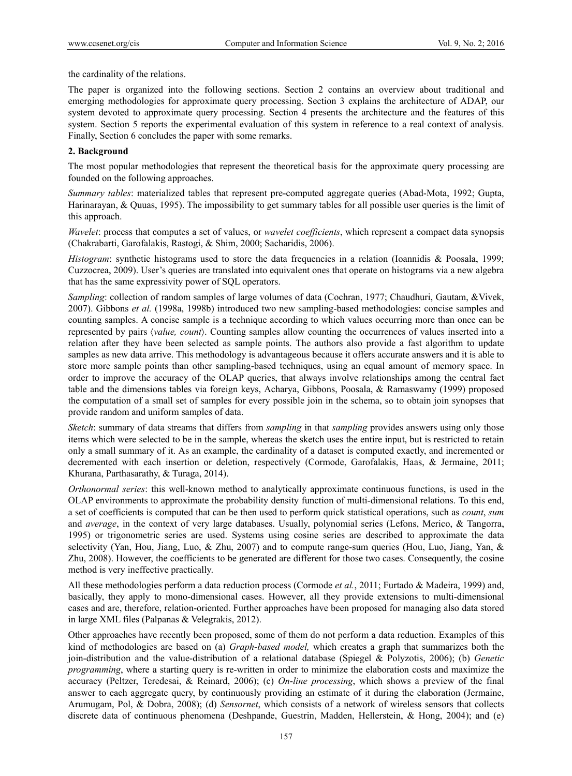the cardinality of the relations.

The paper is organized into the following sections. Section 2 contains an overview about traditional and emerging methodologies for approximate query processing. Section 3 explains the architecture of ADAP, our system devoted to approximate query processing. Section 4 presents the architecture and the features of this system. Section 5 reports the experimental evaluation of this system in reference to a real context of analysis. Finally, Section 6 concludes the paper with some remarks.

# **2. Background**

The most popular methodologies that represent the theoretical basis for the approximate query processing are founded on the following approaches.

*Summary tables*: materialized tables that represent pre-computed aggregate queries (Abad-Mota, 1992; Gupta, Harinarayan, & Quuas, 1995). The impossibility to get summary tables for all possible user queries is the limit of this approach.

*Wavelet*: process that computes a set of values, or *wavelet coefficients*, which represent a compact data synopsis (Chakrabarti, Garofalakis, Rastogi, & Shim, 2000; Sacharidis, 2006).

*Histogram*: synthetic histograms used to store the data frequencies in a relation (Ioannidis & Poosala, 1999; Cuzzocrea, 2009). User's queries are translated into equivalent ones that operate on histograms via a new algebra that has the same expressivity power of SQL operators.

*Sampling*: collection of random samples of large volumes of data (Cochran, 1977; Chaudhuri, Gautam, &Vivek, 2007). Gibbons *et al.* (1998a, 1998b) introduced two new sampling-based methodologies: concise samples and counting samples. A concise sample is a technique according to which values occurring more than once can be represented by pairs *value, count*. Counting samples allow counting the occurrences of values inserted into a relation after they have been selected as sample points. The authors also provide a fast algorithm to update samples as new data arrive. This methodology is advantageous because it offers accurate answers and it is able to store more sample points than other sampling-based techniques, using an equal amount of memory space. In order to improve the accuracy of the OLAP queries, that always involve relationships among the central fact table and the dimensions tables via foreign keys, Acharya, Gibbons, Poosala, & Ramaswamy (1999) proposed the computation of a small set of samples for every possible join in the schema, so to obtain join synopses that provide random and uniform samples of data.

*Sketch*: summary of data streams that differs from *sampling* in that *sampling* provides answers using only those items which were selected to be in the sample, whereas the sketch uses the entire input, but is restricted to retain only a small summary of it. As an example, the cardinality of a dataset is computed exactly, and incremented or decremented with each insertion or deletion, respectively (Cormode, Garofalakis, Haas, & Jermaine, 2011; Khurana, Parthasarathy, & Turaga, 2014).

*Orthonormal series*: this well-known method to analytically approximate continuous functions, is used in the OLAP environments to approximate the probability density function of multi-dimensional relations. To this end, a set of coefficients is computed that can be then used to perform quick statistical operations, such as *count*, *sum* and *average*, in the context of very large databases. Usually, polynomial series (Lefons, Merico, & Tangorra, 1995) or trigonometric series are used. Systems using cosine series are described to approximate the data selectivity (Yan, Hou, Jiang, Luo, & Zhu, 2007) and to compute range-sum queries (Hou, Luo, Jiang, Yan, & Zhu, 2008). However, the coefficients to be generated are different for those two cases. Consequently, the cosine method is very ineffective practically.

All these methodologies perform a data reduction process (Cormode *et al.*, 2011; Furtado & Madeira, 1999) and, basically, they apply to mono-dimensional cases. However, all they provide extensions to multi-dimensional cases and are, therefore, relation-oriented. Further approaches have been proposed for managing also data stored in large XML files (Palpanas & Velegrakis, 2012).

Other approaches have recently been proposed, some of them do not perform a data reduction. Examples of this kind of methodologies are based on (a) *Graph*-*based model,* which creates a graph that summarizes both the join-distribution and the value-distribution of a relational database (Spiegel & Polyzotis, 2006); (b) *Genetic programming*, where a starting query is re-written in order to minimize the elaboration costs and maximize the accuracy (Peltzer, Teredesai, & Reinard, 2006); (c) *On*-*line processing*, which shows a preview of the final answer to each aggregate query, by continuously providing an estimate of it during the elaboration (Jermaine, Arumugam, Pol, & Dobra, 2008); (d) *Sensornet*, which consists of a network of wireless sensors that collects discrete data of continuous phenomena (Deshpande, Guestrin, Madden, Hellerstein, & Hong, 2004); and (e)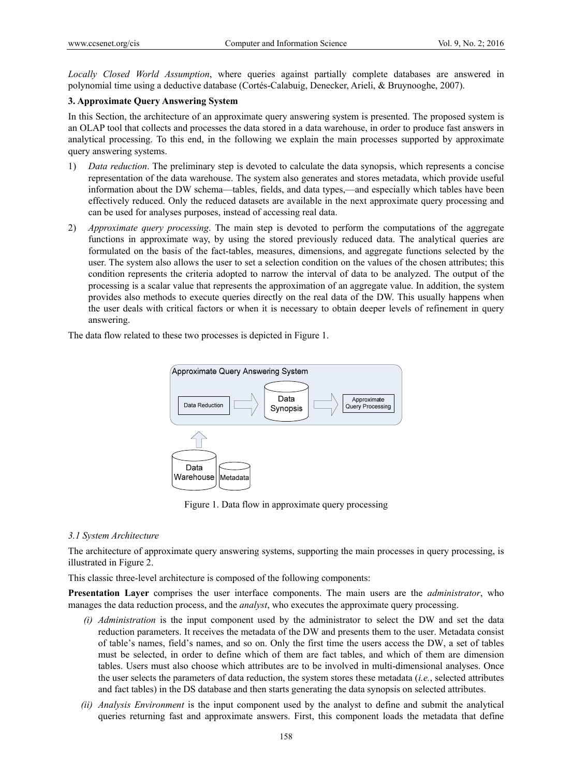*Locally Closed World Assumption*, where queries against partially complete databases are answered in polynomial time using a deductive database (Cortés-Calabuig, Denecker, Arieli, & Bruynooghe, 2007).

# **3. Approximate Query Answering System**

In this Section, the architecture of an approximate query answering system is presented. The proposed system is an OLAP tool that collects and processes the data stored in a data warehouse, in order to produce fast answers in analytical processing. To this end, in the following we explain the main processes supported by approximate query answering systems.

- 1) *Data reduction*. The preliminary step is devoted to calculate the data synopsis, which represents a concise representation of the data warehouse. The system also generates and stores metadata, which provide useful information about the DW schema—tables, fields, and data types,—and especially which tables have been effectively reduced. Only the reduced datasets are available in the next approximate query processing and can be used for analyses purposes, instead of accessing real data.
- 2) *Approximate query processing*. The main step is devoted to perform the computations of the aggregate functions in approximate way, by using the stored previously reduced data. The analytical queries are formulated on the basis of the fact-tables, measures, dimensions, and aggregate functions selected by the user. The system also allows the user to set a selection condition on the values of the chosen attributes; this condition represents the criteria adopted to narrow the interval of data to be analyzed. The output of the processing is a scalar value that represents the approximation of an aggregate value. In addition, the system provides also methods to execute queries directly on the real data of the DW. This usually happens when the user deals with critical factors or when it is necessary to obtain deeper levels of refinement in query answering.

The data flow related to these two processes is depicted in Figure 1.



Figure 1. Data flow in approximate query processing

# *3.1 System Architecture*

The architecture of approximate query answering systems, supporting the main processes in query processing, is illustrated in Figure 2.

This classic three-level architecture is composed of the following components:

**Presentation Layer** comprises the user interface components. The main users are the *administrator*, who manages the data reduction process, and the *analyst*, who executes the approximate query processing.

- *(i) Administration* is the input component used by the administrator to select the DW and set the data reduction parameters. It receives the metadata of the DW and presents them to the user. Metadata consist of table's names, field's names, and so on. Only the first time the users access the DW, a set of tables must be selected, in order to define which of them are fact tables, and which of them are dimension tables. Users must also choose which attributes are to be involved in multi-dimensional analyses. Once the user selects the parameters of data reduction, the system stores these metadata (*i.e.*, selected attributes and fact tables) in the DS database and then starts generating the data synopsis on selected attributes.
- *(ii) Analysis Environment* is the input component used by the analyst to define and submit the analytical queries returning fast and approximate answers. First, this component loads the metadata that define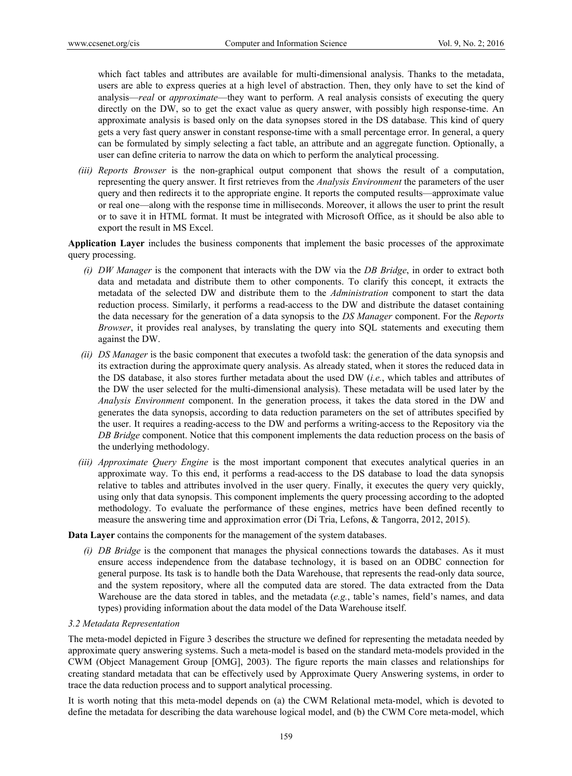which fact tables and attributes are available for multi-dimensional analysis. Thanks to the metadata, users are able to express queries at a high level of abstraction. Then, they only have to set the kind of analysis—*real* or *approximate*—they want to perform. A real analysis consists of executing the query directly on the DW, so to get the exact value as query answer, with possibly high response-time. An approximate analysis is based only on the data synopses stored in the DS database. This kind of query gets a very fast query answer in constant response-time with a small percentage error. In general, a query can be formulated by simply selecting a fact table, an attribute and an aggregate function. Optionally, a user can define criteria to narrow the data on which to perform the analytical processing.

*(iii) Reports Browser* is the non-graphical output component that shows the result of a computation, representing the query answer. It first retrieves from the *Analysis Environment* the parameters of the user query and then redirects it to the appropriate engine. It reports the computed results—approximate value or real one—along with the response time in milliseconds. Moreover, it allows the user to print the result or to save it in HTML format. It must be integrated with Microsoft Office, as it should be also able to export the result in MS Excel.

**Application Layer** includes the business components that implement the basic processes of the approximate query processing.

- *(i) DW Manager* is the component that interacts with the DW via the *DB Bridge*, in order to extract both data and metadata and distribute them to other components. To clarify this concept, it extracts the metadata of the selected DW and distribute them to the *Administration* component to start the data reduction process. Similarly, it performs a read-access to the DW and distribute the dataset containing the data necessary for the generation of a data synopsis to the *DS Manager* component. For the *Reports Browser*, it provides real analyses, by translating the query into SQL statements and executing them against the DW.
- *(ii) DS Manager* is the basic component that executes a twofold task: the generation of the data synopsis and its extraction during the approximate query analysis. As already stated, when it stores the reduced data in the DS database, it also stores further metadata about the used DW (*i.e.*, which tables and attributes of the DW the user selected for the multi-dimensional analysis). These metadata will be used later by the *Analysis Environment* component. In the generation process, it takes the data stored in the DW and generates the data synopsis, according to data reduction parameters on the set of attributes specified by the user. It requires a reading-access to the DW and performs a writing-access to the Repository via the *DB Bridge* component. Notice that this component implements the data reduction process on the basis of the underlying methodology.
- *(iii) Approximate Query Engine* is the most important component that executes analytical queries in an approximate way. To this end, it performs a read-access to the DS database to load the data synopsis relative to tables and attributes involved in the user query. Finally, it executes the query very quickly, using only that data synopsis. This component implements the query processing according to the adopted methodology. To evaluate the performance of these engines, metrics have been defined recently to measure the answering time and approximation error (Di Tria, Lefons, & Tangorra, 2012, 2015).

**Data Layer** contains the components for the management of the system databases.

*(i) DB Bridge* is the component that manages the physical connections towards the databases. As it must ensure access independence from the database technology, it is based on an ODBC connection for general purpose. Its task is to handle both the Data Warehouse, that represents the read-only data source, and the system repository, where all the computed data are stored. The data extracted from the Data Warehouse are the data stored in tables, and the metadata (*e.g.*, table's names, field's names, and data types) providing information about the data model of the Data Warehouse itself.

# *3.2 Metadata Representation*

The meta-model depicted in Figure 3 describes the structure we defined for representing the metadata needed by approximate query answering systems. Such a meta-model is based on the standard meta-models provided in the CWM (Object Management Group [OMG], 2003). The figure reports the main classes and relationships for creating standard metadata that can be effectively used by Approximate Query Answering systems, in order to trace the data reduction process and to support analytical processing.

It is worth noting that this meta-model depends on (a) the CWM Relational meta-model, which is devoted to define the metadata for describing the data warehouse logical model, and (b) the CWM Core meta-model, which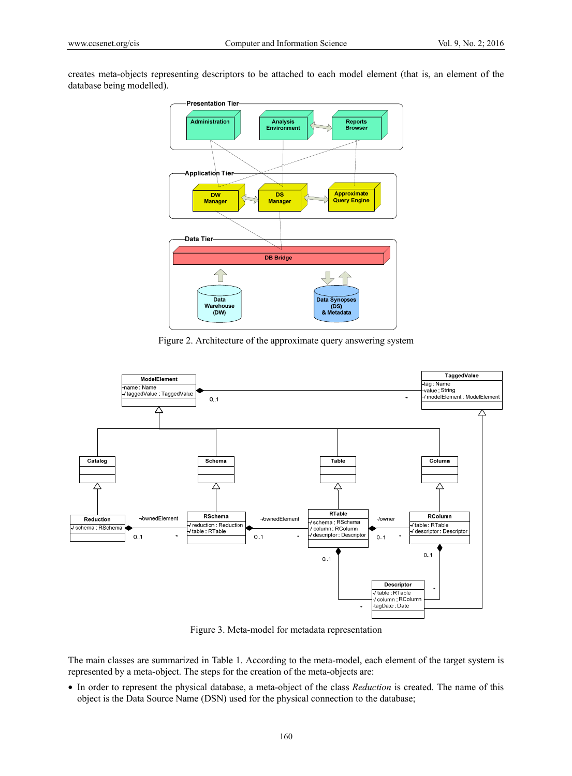creates meta-objects representing descriptors to be attached to each model element (that is, an element of the database being modelled).



Figure 2. Architecture of the approximate query answering system



Figure 3. Meta-model for metadata representation

The main classes are summarized in Table 1. According to the meta-model, each element of the target system is represented by a meta-object. The steps for the creation of the meta-objects are:

• In order to represent the physical database, a meta-object of the class *Reduction* is created. The name of this object is the Data Source Name (DSN) used for the physical connection to the database;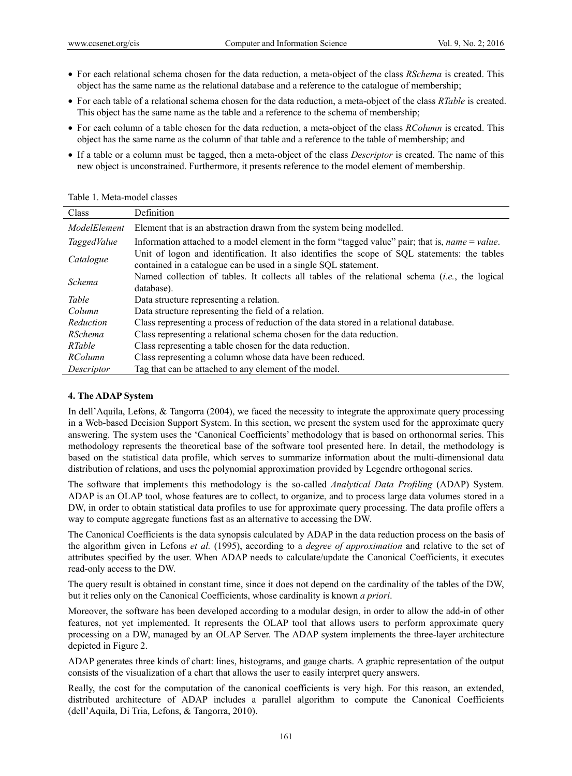- For each relational schema chosen for the data reduction, a meta-object of the class *RSchema* is created. This object has the same name as the relational database and a reference to the catalogue of membership;
- For each table of a relational schema chosen for the data reduction, a meta-object of the class *RTable* is created. This object has the same name as the table and a reference to the schema of membership;
- For each column of a table chosen for the data reduction, a meta-object of the class *RColumn* is created. This object has the same name as the column of that table and a reference to the table of membership; and
- If a table or a column must be tagged, then a meta-object of the class *Descriptor* is created. The name of this new object is unconstrained. Furthermore, it presents reference to the model element of membership.

| Class        | Definition                                                                                                                                                      |  |
|--------------|-----------------------------------------------------------------------------------------------------------------------------------------------------------------|--|
| ModelElement | Element that is an abstraction drawn from the system being modelled.                                                                                            |  |
| TaggedValue  | Information attached to a model element in the form "tagged value" pair; that is, <i>name</i> $=$ <i>value.</i>                                                 |  |
| Catalogue    | Unit of logon and identification. It also identifies the scope of SQL statements: the tables<br>contained in a catalogue can be used in a single SQL statement. |  |
| Schema       | Named collection of tables. It collects all tables of the relational schema $(i.e.,$ the logical<br>database).                                                  |  |
| Table        | Data structure representing a relation.                                                                                                                         |  |
| Column       | Data structure representing the field of a relation.                                                                                                            |  |
| Reduction    | Class representing a process of reduction of the data stored in a relational database.                                                                          |  |
| RSchema      | Class representing a relational schema chosen for the data reduction.                                                                                           |  |
| RTable       | Class representing a table chosen for the data reduction.                                                                                                       |  |
| RColumn      | Class representing a column whose data have been reduced.                                                                                                       |  |
| Descriptor   | Tag that can be attached to any element of the model.                                                                                                           |  |

# **4. The ADAP System**

In dell'Aquila, Lefons, & Tangorra (2004), we faced the necessity to integrate the approximate query processing in a Web-based Decision Support System. In this section, we present the system used for the approximate query answering. The system uses the 'Canonical Coefficients' methodology that is based on orthonormal series. This methodology represents the theoretical base of the software tool presented here. In detail, the methodology is based on the statistical data profile, which serves to summarize information about the multi-dimensional data distribution of relations, and uses the polynomial approximation provided by Legendre orthogonal series.

The software that implements this methodology is the so-called *Analytical Data Profiling* (ADAP) System. ADAP is an OLAP tool, whose features are to collect, to organize, and to process large data volumes stored in a DW, in order to obtain statistical data profiles to use for approximate query processing. The data profile offers a way to compute aggregate functions fast as an alternative to accessing the DW.

The Canonical Coefficients is the data synopsis calculated by ADAP in the data reduction process on the basis of the algorithm given in Lefons *et al.* (1995), according to a *degree of approximation* and relative to the set of attributes specified by the user. When ADAP needs to calculate/update the Canonical Coefficients, it executes read-only access to the DW.

The query result is obtained in constant time, since it does not depend on the cardinality of the tables of the DW, but it relies only on the Canonical Coefficients, whose cardinality is known *a priori*.

Moreover, the software has been developed according to a modular design, in order to allow the add-in of other features, not yet implemented. It represents the OLAP tool that allows users to perform approximate query processing on a DW, managed by an OLAP Server. The ADAP system implements the three-layer architecture depicted in Figure 2.

ADAP generates three kinds of chart: lines, histograms, and gauge charts. A graphic representation of the output consists of the visualization of a chart that allows the user to easily interpret query answers.

Really, the cost for the computation of the canonical coefficients is very high. For this reason, an extended, distributed architecture of ADAP includes a parallel algorithm to compute the Canonical Coefficients (dell'Aquila, Di Tria, Lefons, & Tangorra, 2010).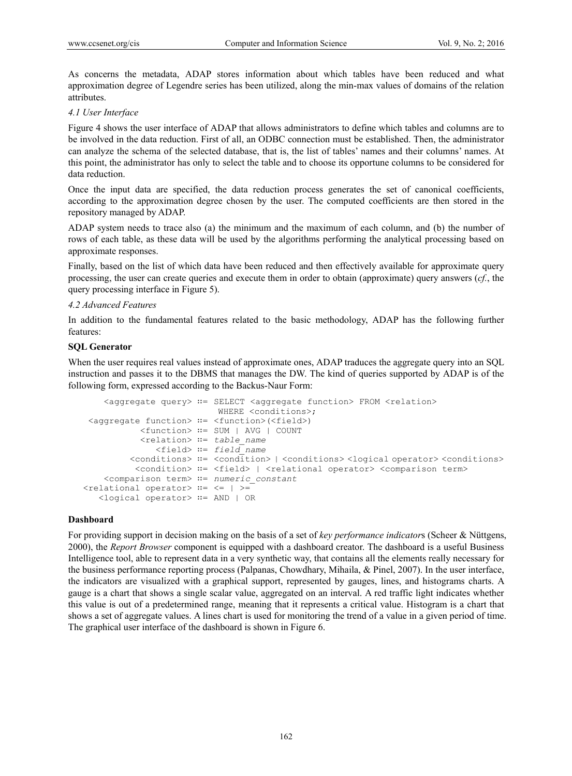As concerns the metadata, ADAP stores information about which tables have been reduced and what approximation degree of Legendre series has been utilized, along the min-max values of domains of the relation attributes.

# *4.1 User Interface*

Figure 4 shows the user interface of ADAP that allows administrators to define which tables and columns are to be involved in the data reduction. First of all, an ODBC connection must be established. Then, the administrator can analyze the schema of the selected database, that is, the list of tables' names and their columns' names. At this point, the administrator has only to select the table and to choose its opportune columns to be considered for data reduction.

Once the input data are specified, the data reduction process generates the set of canonical coefficients, according to the approximation degree chosen by the user. The computed coefficients are then stored in the repository managed by ADAP.

ADAP system needs to trace also (a) the minimum and the maximum of each column, and (b) the number of rows of each table, as these data will be used by the algorithms performing the analytical processing based on approximate responses.

Finally, based on the list of which data have been reduced and then effectively available for approximate query processing, the user can create queries and execute them in order to obtain (approximate) query answers (*cf.*, the query processing interface in Figure 5).

# *4.2 Advanced Features*

In addition to the fundamental features related to the basic methodology, ADAP has the following further features:

# **SQL Generator**

When the user requires real values instead of approximate ones, ADAP traduces the aggregate query into an SQL instruction and passes it to the DBMS that manages the DW. The kind of queries supported by ADAP is of the following form, expressed according to the Backus-Naur Form:

```
 <aggregate query> ∷= SELECT <aggregate function> FROM <relation> 
                          WHERE <conditions>;
 <aggregate function> ∷= <function>(<field>) 
            <function> ∷= SUM | AVG | COUNT 
            <relation> ∷= table_name 
               <field> ∷= field_name 
          <conditions> ∷= <condition> | <conditions> <logical operator> <conditions> 
          <condition> := <field> | <relational operator> <comparison term>
    <comparison term> ∷= numeric_constant 
<relational operator> ∷= <= | >= 
    <logical operator> ∷= AND | OR
```
# **Dashboard**

For providing support in decision making on the basis of a set of *key performance indicator*s (Scheer & Nüttgens, 2000), the *Report Browser* component is equipped with a dashboard creator. The dashboard is a useful Business Intelligence tool, able to represent data in a very synthetic way, that contains all the elements really necessary for the business performance reporting process (Palpanas, Chowdhary, Mihaila, & Pinel, 2007). In the user interface, the indicators are visualized with a graphical support, represented by gauges, lines, and histograms charts. A gauge is a chart that shows a single scalar value, aggregated on an interval. A red traffic light indicates whether this value is out of a predetermined range, meaning that it represents a critical value. Histogram is a chart that shows a set of aggregate values. A lines chart is used for monitoring the trend of a value in a given period of time. The graphical user interface of the dashboard is shown in Figure 6.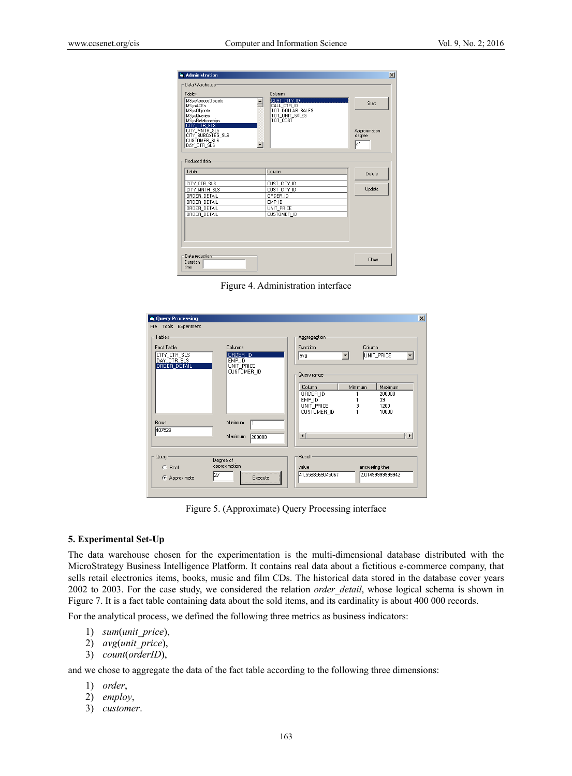| a. Administration                        |                                 | $\mathbf{x}$  |
|------------------------------------------|---------------------------------|---------------|
| Data Warehouse                           |                                 |               |
| Tables                                   | Columns                         |               |
| MSysAccessObjects                        | CUST CITY ID                    | Start         |
| <b>MSysACEs</b><br><b>MSysObjects</b>    | CALL CTR ID<br>TOT_DOLLAR_SALES |               |
| <b>MSysQueries</b>                       | TOT UNIT SALES                  |               |
| MSysRelationships<br>CITY CTR SLS        | TOT COST                        |               |
| CITY_MNTH_SLS                            |                                 | Approximation |
| CITY_SUBCATEG_SLS<br><b>CUSTOMER SLS</b> |                                 | degree        |
| ┯║<br>DAY CTR SLS                        |                                 | 27            |
|                                          |                                 |               |
| <b>Beduced data</b>                      |                                 |               |
|                                          |                                 |               |
| Table                                    | Column                          | Delete        |
| CITY_CTR_SLS                             | CUST_CITY_ID                    |               |
| CITY MNTH SLS                            | CUST_CITY_ID                    | Update        |
| ORDER DETAIL                             | ORDER_ID                        |               |
| ORDER DETAIL                             | EMP ID                          |               |
| ORDER_DETAIL                             | UNIT PRICE                      |               |
| ORDER_DETAIL                             | CUSTOMER ID                     |               |
|                                          |                                 |               |
|                                          |                                 |               |
|                                          |                                 |               |
|                                          |                                 |               |
| Data reduction:                          |                                 |               |
| <b>Duration</b>                          |                                 | Close         |
| time                                     |                                 |               |
|                                          |                                 |               |

Figure 4. Administration interface

| is, Query Processing<br>File Tools Experiment                       |                                                            | $\vert x \vert$                                                                                                                                                                           |
|---------------------------------------------------------------------|------------------------------------------------------------|-------------------------------------------------------------------------------------------------------------------------------------------------------------------------------------------|
| Tables<br>Fact Table<br>CITY_CTR_SLS<br>DAY CTR SLS<br>ORDER DETAIL | Columns<br>ORDER ID<br>EMP_ID<br>UNIT PRICE<br>CUSTOMER_ID | Aggregagtion<br>Function<br>Column<br>UNIT_PRICE<br>$\overline{\phantom{a}}$<br>$\blacktriangledown$<br>avg                                                                               |
| Rows<br>407529                                                      | Minimum<br>Maximum<br>200000                               | Query range<br>Minimum<br>Column<br>Maximum<br>ORDER ID<br>200000<br>EMP ID<br>39<br>3<br>UNIT_PRICE<br>1200<br>CUSTOMER ID<br>10000<br>$\lvert \cdot \rvert$<br>$\overline{\phantom{a}}$ |
| Query<br>$C$ Real<br>C Approximate                                  | Degree of<br>approximation<br>127<br>Execute               | Result<br>answering time<br>value<br>2.01499999999942<br>41,5588569045067                                                                                                                 |

Figure 5. (Approximate) Query Processing interface

#### **5. Experimental Set-Up**

The data warehouse chosen for the experimentation is the multi-dimensional database distributed with the MicroStrategy Business Intelligence Platform. It contains real data about a fictitious e-commerce company, that sells retail electronics items, books, music and film CDs. The historical data stored in the database cover years 2002 to 2003. For the case study, we considered the relation *order\_detail*, whose logical schema is shown in Figure 7. It is a fact table containing data about the sold items, and its cardinality is about 400 000 records.

For the analytical process, we defined the following three metrics as business indicators:

- 1) *sum*(*unit\_price*),
- 2) *avg*(*unit\_price*),
- 3) *count*(*orderID*),

and we chose to aggregate the data of the fact table according to the following three dimensions:

- 1) *order*,
- 2) *employ*,
- 3) *customer*.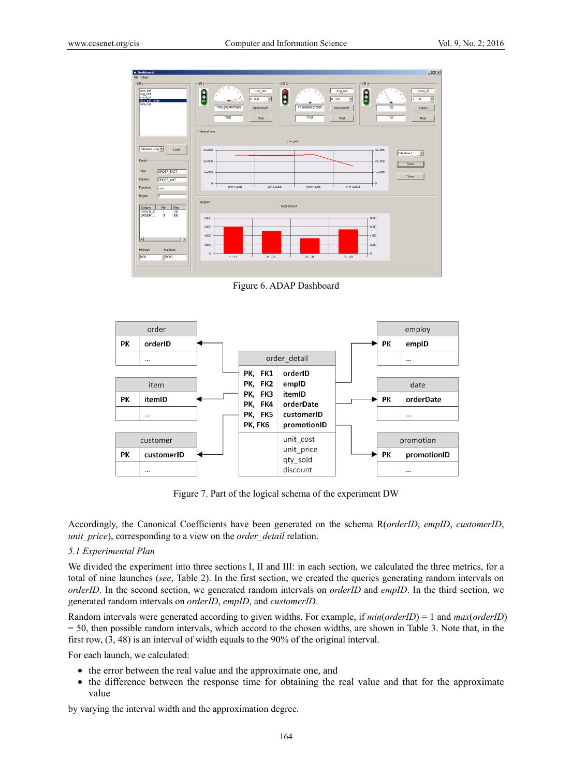

Figure 6. ADAP Dashboard



Figure 7. Part of the logical schema of the experiment DW

Accordingly, the Canonical Coefficients have been generated on the schema R(*orderID*, *empID*, *customerID*, *unit\_price*), corresponding to a view on the *order\_detail* relation.

# *5.1 Experimental Plan*

We divided the experiment into three sections I, II and III: in each section, we calculated the three metrics, for a total of nine launches (*see*, Table 2). In the first section, we created the queries generating random intervals on *orderID*. In the second section, we generated random intervals on *orderID* and *empID*. In the third section, we generated random intervals on *orderID*, *empID*, and *customerID*.

Random intervals were generated according to given widths. For example, if *min*(*orderID*) = 1 and *max*(*orderID*) = 50, then possible random intervals, which accord to the chosen widths, are shown in Table 3. Note that, in the first row, (3, 48) is an interval of width equals to the 90% of the original interval.

For each launch, we calculated:

- the error between the real value and the approximate one, and
- the difference between the response time for obtaining the real value and that for the approximate value

by varying the interval width and the approximation degree.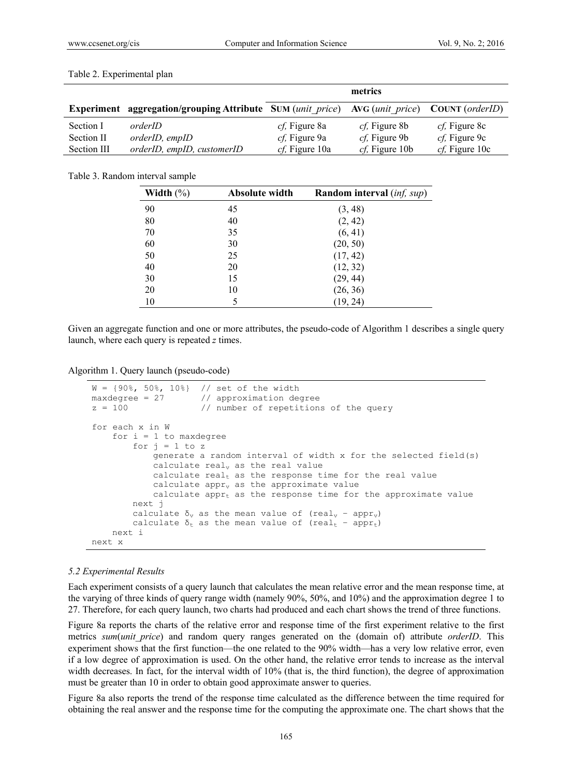|             |                                                                                                    | metrics                |                        |                        |
|-------------|----------------------------------------------------------------------------------------------------|------------------------|------------------------|------------------------|
|             | <b>Experiment aggregation/grouping Attribute SUM (unit price) AVG (unit price) COUNT (orderID)</b> |                        |                        |                        |
| Section I   | orderID                                                                                            | <i>cf</i> , Figure 8a  | <i>cf</i> , Figure 8b  | <i>cf</i> , Figure 8c  |
| Section II  | <i>orderID</i> , <i>empID</i>                                                                      | <i>cf</i> , Figure 9a  | <i>cf</i> , Figure 9b  | <i>cf</i> , Figure 9c  |
| Section III | orderID, empID, customerID                                                                         | <i>cf</i> , Figure 10a | <i>cf</i> , Figure 10b | <i>cf</i> , Figure 10c |

#### Table 2. Experimental plan

#### Table 3. Random interval sample

| Width $(\% )$ | Absolute width | <b>Random interval</b> (inf, sup) |
|---------------|----------------|-----------------------------------|
| 90            | 45             | (3, 48)                           |
| 80            | 40             | (2, 42)                           |
| 70            | 35             | (6, 41)                           |
| 60            | 30             | (20, 50)                          |
| 50            | 25             | (17, 42)                          |
| 40            | 20             | (12, 32)                          |
| 30            | 15             | (29, 44)                          |
| 20            | 10             | (26, 36)                          |
| 10            | 5              | (19, 24)                          |

Given an aggregate function and one or more attributes, the pseudo-code of Algorithm 1 describes a single query launch, where each query is repeated *z* times.

Algorithm 1. Query launch (pseudo-code)

```
W = \{90\%, 50\%, 10\%\} // set of the width maxdegree = 27 // approximation de
                          // approximation degree
z = 100 // number of repetitions of the query
for each x in W 
     for i = 1 to maxdegree
         for j = 1 to z
                generate a random interval of width x for the selected field(s)
               calculate real<sub>v</sub> as the real value</sub>
               calculate real<sub>t</sub> as the response time for the real value
               calculate apprv<sub>v</sub> as the approximate value
               calculate appr<sub>t</sub> as the response time for the approximate value
          next j 
          calculate \delta_v as the mean value of (real<sub>v</sub> − appr<sub>v</sub>)
          calculate \delta_t as the mean value of (real<sub>t</sub> - appr<sub>t</sub>)
      next i 
next x
```
### *5.2 Experimental Results*

Each experiment consists of a query launch that calculates the mean relative error and the mean response time, at the varying of three kinds of query range width (namely 90%, 50%, and 10%) and the approximation degree 1 to 27. Therefore, for each query launch, two charts had produced and each chart shows the trend of three functions.

Figure 8a reports the charts of the relative error and response time of the first experiment relative to the first metrics *sum*(*unit\_price*) and random query ranges generated on the (domain of) attribute *orderID*. This experiment shows that the first function—the one related to the 90% width—has a very low relative error, even if a low degree of approximation is used. On the other hand, the relative error tends to increase as the interval width decreases. In fact, for the interval width of 10% (that is, the third function), the degree of approximation must be greater than 10 in order to obtain good approximate answer to queries.

Figure 8a also reports the trend of the response time calculated as the difference between the time required for obtaining the real answer and the response time for the computing the approximate one. The chart shows that the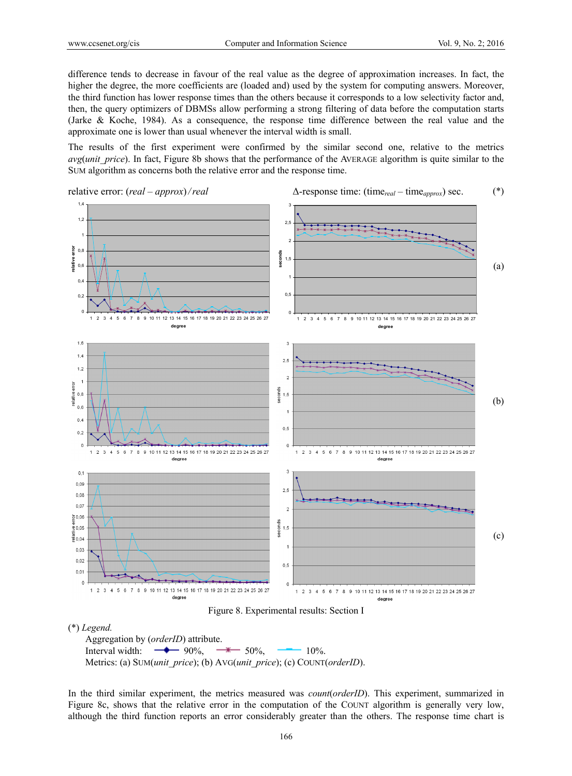difference tends to decrease in favour of the real value as the degree of approximation increases. In fact, the higher the degree, the more coefficients are (loaded and) used by the system for computing answers. Moreover, the third function has lower response times than the others because it corresponds to a low selectivity factor and, then, the query optimizers of DBMSs allow performing a strong filtering of data before the computation starts (Jarke & Koche, 1984). As a consequence, the response time difference between the real value and the approximate one is lower than usual whenever the interval width is small.

The results of the first experiment were confirmed by the similar second one, relative to the metrics *avg(unit price)*. In fact, Figure 8b shows that the performance of the AVERAGE algorithm is quite similar to the SUM algorithm as concerns both the relative error and the response time.







In the third similar experiment, the metrics measured was *count*(*orderID*). This experiment, summarized in Figure 8c, shows that the relative error in the computation of the COUNT algorithm is generally very low, although the third function reports an error considerably greater than the others. The response time chart is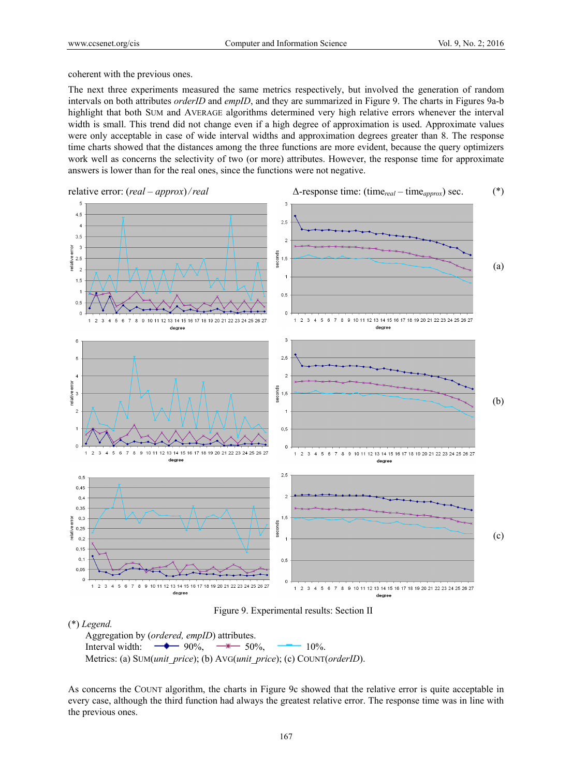coherent with the previous ones.

The next three experiments measured the same metrics respectively, but involved the generation of random intervals on both attributes *orderID* and *empID*, and they are summarized in Figure 9. The charts in Figures 9a-b highlight that both SUM and AVERAGE algorithms determined very high relative errors whenever the interval width is small. This trend did not change even if a high degree of approximation is used. Approximate values were only acceptable in case of wide interval widths and approximation degrees greater than 8. The response time charts showed that the distances among the three functions are more evident, because the query optimizers work well as concerns the selectivity of two (or more) attributes. However, the response time for approximate answers is lower than for the real ones, since the functions were not negative.



Figure 9. Experimental results: Section II

# (\*) *Legend.*

Aggregation by (*ordered, empID*) attributes. Interval width:  $\rightarrow$  90%,  $\rightarrow$  50%,  $\rightarrow$  10%. Metrics: (a) SUM(*unit\_price*); (b) AVG(*unit\_price*); (c) COUNT(*orderID*).

As concerns the COUNT algorithm, the charts in Figure 9c showed that the relative error is quite acceptable in every case, although the third function had always the greatest relative error. The response time was in line with the previous ones.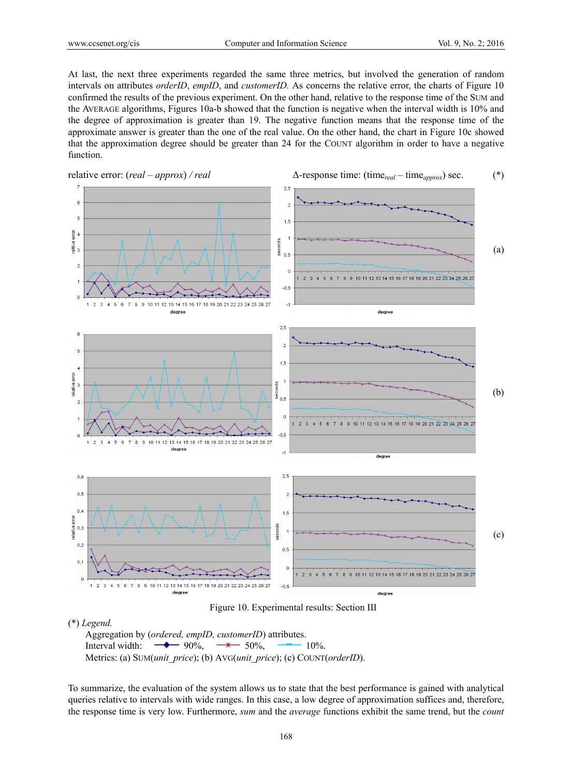At last, the next three experiments regarded the same three metrics, but involved the generation of random intervals on attributes *orderID*, *empID*, and *customerID.* As concerns the relative error, the charts of Figure 10 confirmed the results of the previous experiment. On the other hand, relative to the response time of the SUM and the AVERAGE algorithms, Figures 10a-b showed that the function is negative when the interval width is 10% and the degree of approximation is greater than 19. The negative function means that the response time of the approximate answer is greater than the one of the real value. On the other hand, the chart in Figure 10c showed that the approximation degree should be greater than 24 for the COUNT algorithm in order to have a negative function.



Figure 10. Experimental results: Section III

## (\*) *Legend.*

Aggregation by (*ordered, empID, customerID*) attributes. Interval width:  $\rightarrow$  90%,  $\rightarrow$  50%,  $\rightarrow$  10%. Metrics: (a) SUM(*unit\_price*); (b) AVG(*unit\_price*); (c) COUNT(*orderID*).

To summarize, the evaluation of the system allows us to state that the best performance is gained with analytical queries relative to intervals with wide ranges. In this case, a low degree of approximation suffices and, therefore, the response time is very low. Furthermore, *sum* and the *average* functions exhibit the same trend, but the *count*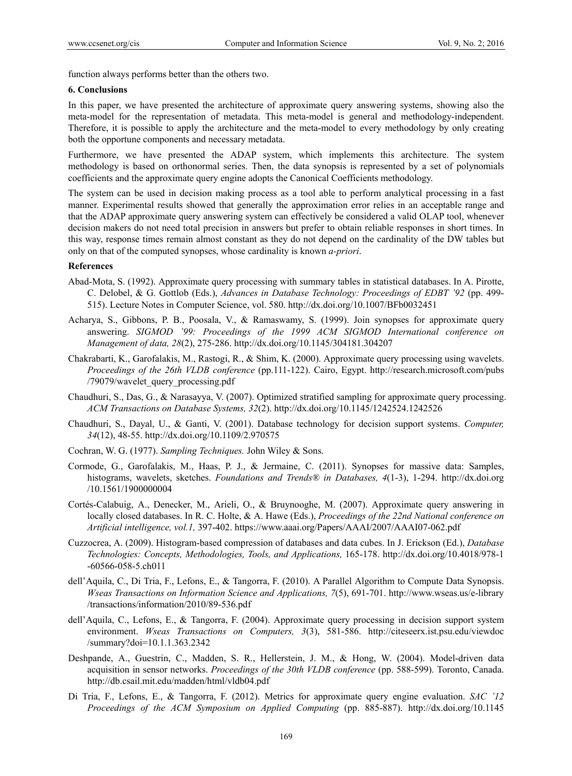function always performs better than the others two.

## **6. Conclusions**

In this paper, we have presented the architecture of approximate query answering systems, showing also the meta-model for the representation of metadata. This meta-model is general and methodology-independent. Therefore, it is possible to apply the architecture and the meta-model to every methodology by only creating both the opportune components and necessary metadata.

Furthermore, we have presented the ADAP system, which implements this architecture. The system methodology is based on orthonormal series. Then, the data synopsis is represented by a set of polynomials coefficients and the approximate query engine adopts the Canonical Coefficients methodology.

The system can be used in decision making process as a tool able to perform analytical processing in a fast manner. Experimental results showed that generally the approximation error relies in an acceptable range and that the ADAP approximate query answering system can effectively be considered a valid OLAP tool, whenever decision makers do not need total precision in answers but prefer to obtain reliable responses in short times. In this way, response times remain almost constant as they do not depend on the cardinality of the DW tables but only on that of the computed synopses, whose cardinality is known *a-priori*.

# **References**

- Abad-Mota, S. (1992). Approximate query processing with summary tables in statistical databases. In A. Pirotte, C. Delobel, & G. Gottlob (Eds.), *Advances in Database Technology: Proceedings of EDBT '92* (pp. 499- 515). Lecture Notes in Computer Science, vol. 580. http://dx.doi.org/10.1007/BFb0032451
- Acharya, S., Gibbons, P. B., Poosala, V., & Ramaswamy, S. (1999). Join synopses for approximate query answering. *SIGMOD '99: Proceedings of the 1999 ACM SIGMOD International conference on Management of data, 28*(2), 275-286. http://dx.doi.org/10.1145/304181.304207
- Chakrabarti, K., Garofalakis, M., Rastogi, R., & Shim, K. (2000). Approximate query processing using wavelets. *Proceedings of the 26th VLDB conference* (pp.111-122). Cairo, Egypt. http://research.microsoft.com/pubs /79079/wavelet\_query\_processing.pdf
- Chaudhuri, S., Das, G., & Narasayya, V. (2007). Optimized stratified sampling for approximate query processing. *ACM Transactions on Database Systems, 32*(2). http://dx.doi.org/10.1145/1242524.1242526
- Chaudhuri, S., Dayal, U., & Ganti, V. (2001). Database technology for decision support systems. *Computer, 34*(12), 48-55. http://dx.doi.org/10.1109/2.970575
- Cochran, W. G. (1977). *Sampling Techniques.* John Wiley & Sons.
- Cormode, G., Garofalakis, M., Haas, P. J., & Jermaine, C. (2011). Synopses for massive data: Samples, histograms, wavelets, sketches. *Foundations and Trends® in Databases, 4*(1-3), 1-294. http://dx.doi.org /10.1561/1900000004
- Cortés-Calabuig, A., Denecker, M., Arieli, O., & Bruynooghe, M. (2007). Approximate query answering in locally closed databases. In R. C. Holte, & A. Hawe (Eds.), *Proceedings of the 22nd National conference on Artificial intelligence, vol.1,* 397-402. https://www.aaai.org/Papers/AAAI/2007/AAAI07-062.pdf
- Cuzzocrea, A. (2009). Histogram-based compression of databases and data cubes. In J. Erickson (Ed.), *Database Technologies: Concepts, Methodologies, Tools, and Applications,* 165-178. http://dx.doi.org/10.4018/978-1 -60566-058-5.ch011
- dell'Aquila, C., Di Tria, F., Lefons, E., & Tangorra, F. (2010). A Parallel Algorithm to Compute Data Synopsis. *Wseas Transactions on Information Science and Applications, 7*(5), 691-701. http://www.wseas.us/e-library /transactions/information/2010/89-536.pdf
- dell'Aquila, C., Lefons, E., & Tangorra, F. (2004). Approximate query processing in decision support system environment. *Wseas Transactions on Computers, 3*(3), 581-586. http://citeseerx.ist.psu.edu/viewdoc /summary?doi=10.1.1.363.2342
- Deshpande, A., Guestrin, C., Madden, S. R., Hellerstein, J. M., & Hong, W. (2004). Model-driven data acquisition in sensor networks. *Proceedings of the 30th VLDB conference* (pp. 588-599). Toronto, Canada. http://db.csail.mit.edu/madden/html/vldb04.pdf
- Di Tria, F., Lefons, E., & Tangorra, F. (2012). Metrics for approximate query engine evaluation. *SAC '12 Proceedings of the ACM Symposium on Applied Computing* (pp. 885-887). http://dx.doi.org/10.1145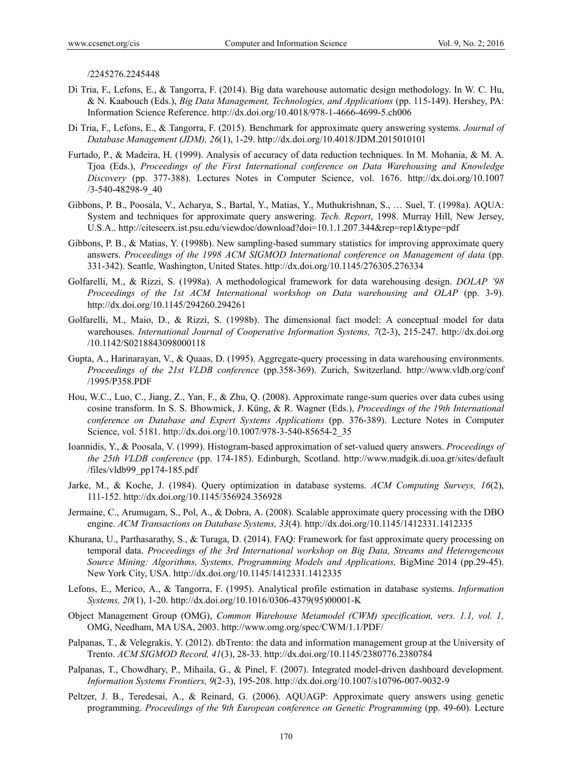/2245276.2245448

- Di Tria, F., Lefons, E., & Tangorra, F. (2014). Big data warehouse automatic design methodology. In W. C. Hu, & N. Kaabouch (Eds.), *Big Data Management, Technologies, and Applications* (pp. 115-149). Hershey, PA: Information Science Reference. http://dx.doi.org/10.4018/978-1-4666-4699-5.ch006
- Di Tria, F., Lefons, E., & Tangorra, F. (2015). Benchmark for approximate query answering systems. *Journal of Database Management (JDM), 26*(1), 1-29. http://dx.doi.org/10.4018/JDM.2015010101
- Furtado, P., & Madeira, H. (1999). Analysis of accuracy of data reduction techniques. In M. Mohania, & M. A. Tjoa (Eds.), *Proceedings of the First International conference on Data Warehousing and Knowledge Discovery* (pp. 377-388). Lectures Notes in Computer Science, vol. 1676. http://dx.doi.org/10.1007 /3-540-48298-9\_40
- Gibbons, P. B., Poosala, V., Acharya, S., Bartal, Y., Matias, Y., Muthukrishnan, S., … Suel, T. (1998a). AQUA: System and techniques for approximate query answering. *Tech. Report*, 1998. Murray Hill, New Jersey, U.S.A.. http://citeseerx.ist.psu.edu/viewdoc/download?doi=10.1.1.207.344&rep=rep1&type=pdf
- Gibbons, P. B., & Matias, Y. (1998b). New sampling-based summary statistics for improving approximate query answers. *Proceedings of the 1998 ACM SIGMOD International conference on Management of data* (pp. 331-342). Seattle, Washington, United States. http://dx.doi.org/10.1145/276305.276334
- Golfarelli, M., & Rizzi, S. (1998a). A methodological framework for data warehousing design. *DOLAP '98 Proceedings of the 1st ACM International workshop on Data warehousing and OLAP* (pp. 3-9). http://dx.doi.org/10.1145/294260.294261
- Golfarelli, M., Maio, D., & Rizzi, S. (1998b). The dimensional fact model: A conceptual model for data warehouses. *International Journal of Cooperative Information Systems, 7*(2-3), 215-247. http://dx.doi.org /10.1142/S0218843098000118
- Gupta, A., Harinarayan, V., & Quaas, D. (1995). Aggregate-query processing in data warehousing environments. *Proceedings of the 21st VLDB conference* (pp.358-369). Zurich, Switzerland. http://www.vldb.org/conf /1995/P358.PDF
- Hou, W.C., Luo, C., Jiang, Z., Yan, F., & Zhu, Q. (2008). Approximate range-sum queries over data cubes using cosine transform. In S. S. Bhowmick, J. Küng, & R. Wagner (Eds.), *Proceedings of the 19th International conference on Database and Expert Systems Applications* (pp. 376-389). Lecture Notes in Computer Science, vol. 5181. http://dx.doi.org/10.1007/978-3-540-85654-2\_35
- Ioannidis, Y., & Poosala, V. (1999). Histogram-based approximation of set-valued query answers. *Proceedings of the 25th VLDB conference* (pp. 174-185). Edinburgh, Scotland. http://www.madgik.di.uoa.gr/sites/default /files/vldb99\_pp174-185.pdf
- Jarke, M., & Koche, J. (1984). Query optimization in database systems. *ACM Computing Surveys, 16*(2), 111-152. http://dx.doi.org/10.1145/356924.356928
- Jermaine, C., Arumugam, S., Pol, A., & Dobra, A. (2008). Scalable approximate query processing with the DBO engine. *ACM Transactions on Database Systems, 33*(4). http://dx.doi.org/10.1145/1412331.1412335
- Khurana, U., Parthasarathy, S., & Turaga, D. (2014). FAQ: Framework for fast approximate query processing on temporal data. *Proceedings of the 3rd International workshop on Big Data, Streams and Heterogeneous Source Mining: Algorithms, Systems, Programming Models and Applications,* BigMine 2014 (pp.29-45). New York City, USA. http://dx.doi.org/10.1145/1412331.1412335
- Lefons, E., Merico, A., & Tangorra, F. (1995). Analytical profile estimation in database systems. *Information Systems, 20*(1), 1-20. http://dx.doi.org/10.1016/0306-4379(95)00001-K
- Object Management Group (OMG), *Common Warehouse Metamodel (CWM) specification, vers. 1.1, vol. 1,* OMG, Needham, MA USA, 2003. http://www.omg.org/spec/CWM/1.1/PDF/
- Palpanas, T., & Velegrakis, Y. (2012). dbTrento: the data and information management group at the University of Trento. *ACM SIGMOD Record, 41*(3), 28-33. http://dx.doi.org/10.1145/2380776.2380784
- Palpanas, T., Chowdhary, P., Mihaila, G., & Pinel, F. (2007). Integrated model-driven dashboard development. *Information Systems Frontiers, 9*(2-3), 195-208. http://dx.doi.org/10.1007/s10796-007-9032-9
- Peltzer, J. B., Teredesai, A., & Reinard, G. (2006). AQUAGP: Approximate query answers using genetic programming. *Proceedings of the 9th European conference on Genetic Programming* (pp. 49-60). Lecture